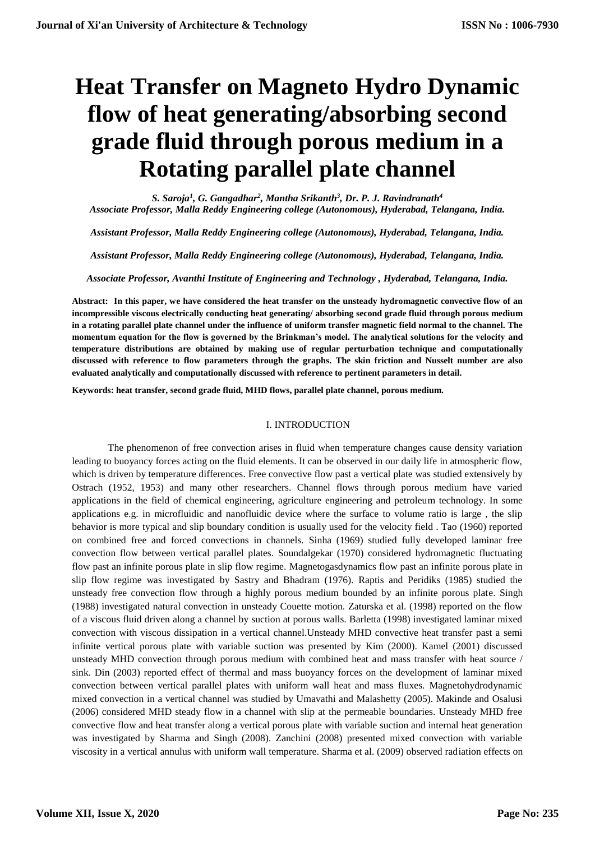# **Heat Transfer on Magneto Hydro Dynamic flow of heat generating/absorbing second grade fluid through porous medium in a Rotating parallel plate channel**

*S. Saroja<sup>1</sup> , G. Gangadhar<sup>2</sup> , Mantha Srikanth<sup>3</sup> , Dr. P. J. Ravindranath<sup>4</sup> Associate Professor, Malla Reddy Engineering college (Autonomous), Hyderabad, Telangana, India.*

*Assistant Professor, Malla Reddy Engineering college (Autonomous), Hyderabad, Telangana, India.*

*Assistant Professor, Malla Reddy Engineering college (Autonomous), Hyderabad, Telangana, India.*

*Associate Professor, Avanthi Institute of Engineering and Technology , Hyderabad, Telangana, India.*

**Abstract: In this paper, we have considered the heat transfer on the unsteady hydromagnetic convective flow of an incompressible viscous electrically conducting heat generating/ absorbing second grade fluid through porous medium in a rotating parallel plate channel under the influence of uniform transfer magnetic field normal to the channel. The momentum equation for the flow is governed by the Brinkman's model. The analytical solutions for the velocity and temperature distributions are obtained by making use of regular perturbation technique and computationally discussed with reference to flow parameters through the graphs. The skin friction and Nusselt number are also evaluated analytically and computationally discussed with reference to pertinent parameters in detail.** 

**Keywords: heat transfer, second grade fluid, MHD flows, parallel plate channel, porous medium.**

## I. INTRODUCTION

The phenomenon of free convection arises in fluid when temperature changes cause density variation leading to buoyancy forces acting on the fluid elements. It can be observed in our daily life in atmospheric flow, which is driven by temperature differences. Free convective flow past a vertical plate was studied extensively by Ostrach (1952, 1953) and many other researchers. Channel flows through porous medium have varied applications in the field of chemical engineering, agriculture engineering and petroleum technology. In some applications e.g. in microfluidic and nanofluidic device where the surface to volume ratio is large , the slip behavior is more typical and slip boundary condition is usually used for the velocity field . Tao (1960) reported on combined free and forced convections in channels. Sinha (1969) studied fully developed laminar free convection flow between vertical parallel plates. Soundalgekar (1970) considered hydromagnetic fluctuating flow past an infinite porous plate in slip flow regime. Magnetogasdynamics flow past an infinite porous plate in slip flow regime was investigated by Sastry and Bhadram (1976). Raptis and Peridiks (1985) studied the unsteady free convection flow through a highly porous medium bounded by an infinite porous plate. Singh (1988) investigated natural convection in unsteady Couette motion. Zaturska et al. (1998) reported on the flow of a viscous fluid driven along a channel by suction at porous walls. Barletta (1998) investigated laminar mixed convection with viscous dissipation in a vertical channel.Unsteady MHD convective heat transfer past a semi infinite vertical porous plate with variable suction was presented by Kim (2000). Kamel (2001) discussed unsteady MHD convection through porous medium with combined heat and mass transfer with heat source / sink. Din (2003) reported effect of thermal and mass buoyancy forces on the development of laminar mixed convection between vertical parallel plates with uniform wall heat and mass fluxes. Magnetohydrodynamic mixed convection in a vertical channel was studied by Umavathi and Malashetty (2005). Makinde and Osalusi (2006) considered MHD steady flow in a channel with slip at the permeable boundaries. Unsteady MHD free convective flow and heat transfer along a vertical porous plate with variable suction and internal heat generation was investigated by Sharma and Singh (2008). Zanchini (2008) presented mixed convection with variable viscosity in a vertical annulus with uniform wall temperature. Sharma et al. (2009) observed radiation effects on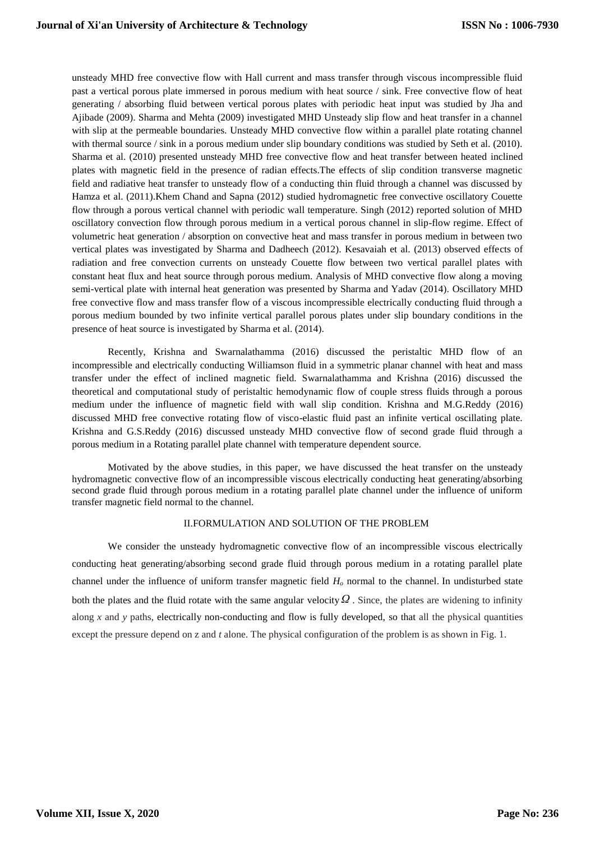unsteady MHD free convective flow with Hall current and mass transfer through viscous incompressible fluid past a vertical porous plate immersed in porous medium with heat source / sink. Free convective flow of heat generating / absorbing fluid between vertical porous plates with periodic heat input was studied by Jha and Ajibade (2009). Sharma and Mehta (2009) investigated MHD Unsteady slip flow and heat transfer in a channel with slip at the permeable boundaries. Unsteady MHD convective flow within a parallel plate rotating channel with thermal source / sink in a porous medium under slip boundary conditions was studied by Seth et al. (2010). Sharma et al. (2010) presented unsteady MHD free convective flow and heat transfer between heated inclined plates with magnetic field in the presence of radian effects.The effects of slip condition transverse magnetic field and radiative heat transfer to unsteady flow of a conducting thin fluid through a channel was discussed by Hamza et al. (2011).Khem Chand and Sapna (2012) studied hydromagnetic free convective oscillatory Couette flow through a porous vertical channel with periodic wall temperature. Singh (2012) reported solution of MHD oscillatory convection flow through porous medium in a vertical porous channel in slip-flow regime. Effect of volumetric heat generation / absorption on convective heat and mass transfer in porous medium in between two vertical plates was investigated by Sharma and Dadheech (2012). Kesavaiah et al. (2013) observed effects of radiation and free convection currents on unsteady Couette flow between two vertical parallel plates with constant heat flux and heat source through porous medium. Analysis of MHD convective flow along a moving semi-vertical plate with internal heat generation was presented by Sharma and Yadav (2014). Oscillatory MHD free convective flow and mass transfer flow of a viscous incompressible electrically conducting fluid through a porous medium bounded by two infinite vertical parallel porous plates under slip boundary conditions in the presence of heat source is investigated by Sharma et al. (2014).

Recently, Krishna and Swarnalathamma (2016) discussed the peristaltic MHD flow of an incompressible and electrically conducting Williamson fluid in a symmetric planar channel with heat and mass transfer under the effect of inclined magnetic field. Swarnalathamma and Krishna (2016) discussed the theoretical and computational study of peristaltic hemodynamic flow of couple stress fluids through a porous medium under the influence of magnetic field with wall slip condition. Krishna and M.G.Reddy (2016) discussed MHD free convective rotating flow of visco-elastic fluid past an infinite vertical oscillating plate. Krishna and G.S.Reddy (2016) discussed unsteady MHD convective flow of second grade fluid through a porous medium in a Rotating parallel plate channel with temperature dependent source.

Motivated by the above studies, in this paper, we have discussed the heat transfer on the unsteady hydromagnetic convective flow of an incompressible viscous electrically conducting heat generating/absorbing second grade fluid through porous medium in a rotating parallel plate channel under the influence of uniform transfer magnetic field normal to the channel.

#### II.FORMULATION AND SOLUTION OF THE PROBLEM

We consider the unsteady hydromagnetic convective flow of an incompressible viscous electrically conducting heat generating/absorbing second grade fluid through porous medium in a rotating parallel plate channel under the influence of uniform transfer magnetic field *H<sup>o</sup>* normal to the channel. In undisturbed state both the plates and the fluid rotate with the same angular velocity *Ω* . Since, the plates are widening to infinity along  $x$  and  $y$  paths, electrically non-conducting and flow is fully developed, so that all the physical quantities except the pressure depend on z and *t* alone. The physical configuration of the problem is as shown in Fig. 1.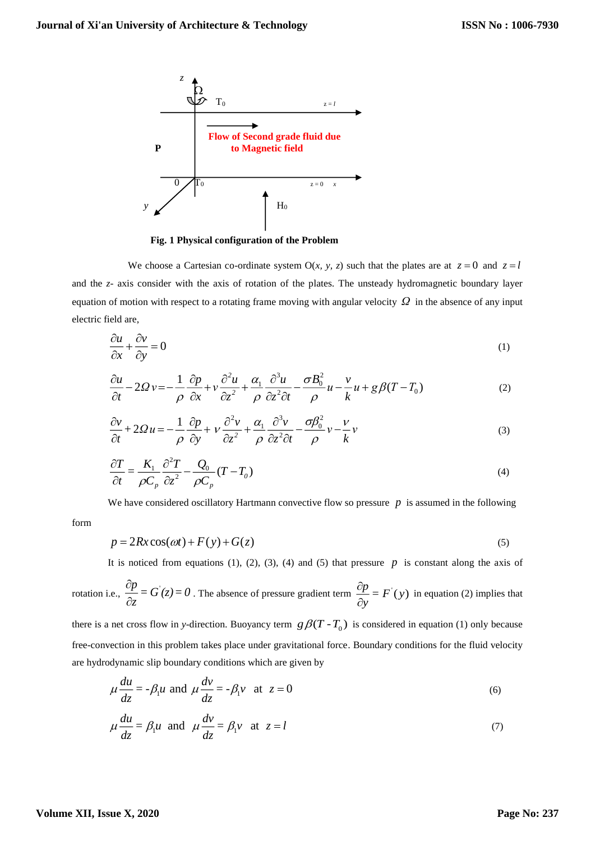

**Fig. 1 Physical configuration of the Problem**

We choose a Cartesian co-ordinate system  $O(x, y, z)$  such that the plates are at  $z = 0$  and  $z = l$ and the *z-* axis consider with the axis of rotation of the plates. The unsteady hydromagnetic boundary layer equation of motion with respect to a rotating frame moving with angular velocity *Ω* in the absence of any input electric field are,

$$
\frac{\partial u}{\partial x} + \frac{\partial v}{\partial y} = 0\tag{1}
$$

$$
\frac{\partial u}{\partial t} - 2\Omega v = -\frac{1}{\rho} \frac{\partial p}{\partial x} + v \frac{\partial^2 u}{\partial z^2} + \frac{\alpha_1}{\rho} \frac{\partial^3 u}{\partial z^2 \partial t} - \frac{\sigma B_0^2}{\rho} u - \frac{v}{k} u + g \beta (T - T_0)
$$
(2)

$$
\frac{\partial v}{\partial t} + 2\Omega u = -\frac{1}{\rho} \frac{\partial p}{\partial y} + v \frac{\partial^2 v}{\partial z^2} + \frac{\alpha_1}{\rho} \frac{\partial^3 v}{\partial z^2 \partial t} - \frac{\sigma \beta_0^2}{\rho} v - \frac{v}{k} v
$$
\n(3)

$$
\frac{\partial T}{\partial t} = \frac{K_1}{\rho C_p} \frac{\partial^2 T}{\partial z^2} - \frac{Q_0}{\rho C_p} (T - T_0)
$$
\n(4)

We have considered oscillatory Hartmann convective flow so pressure  $p$  is assumed in the following

$$
p = 2Rx\cos(\omega t) + F(y) + G(z)
$$
\n<sup>(5)</sup>

It is noticed from equations  $(1)$ ,  $(2)$ ,  $(3)$ ,  $(4)$  and  $(5)$  that pressure  $p$  is constant along the axis of

rotation i.e., 
$$
\frac{\partial p}{\partial z} = G'(z) = 0
$$
. The absence of pressure gradient term  $\frac{\partial p}{\partial y} = F'(y)$  in equation (2) implies that

there is a net cross flow in *y*-direction. Buoyancy term  $g\beta(T - T_0)$  is considered in equation (1) only because free-convection in this problem takes place under gravitational force. Boundary conditions for the fluid velocity are hydrodynamic slip boundary conditions which are given by

$$
\mu \frac{du}{dz} = -\beta_1 u \text{ and } \mu \frac{dv}{dz} = -\beta_1 v \text{ at } z = 0
$$
 (6)

$$
\mu \frac{du}{dz} = \beta_1 u \text{ and } \mu \frac{dv}{dz} = \beta_1 v \text{ at } z = l
$$
\n(7)

form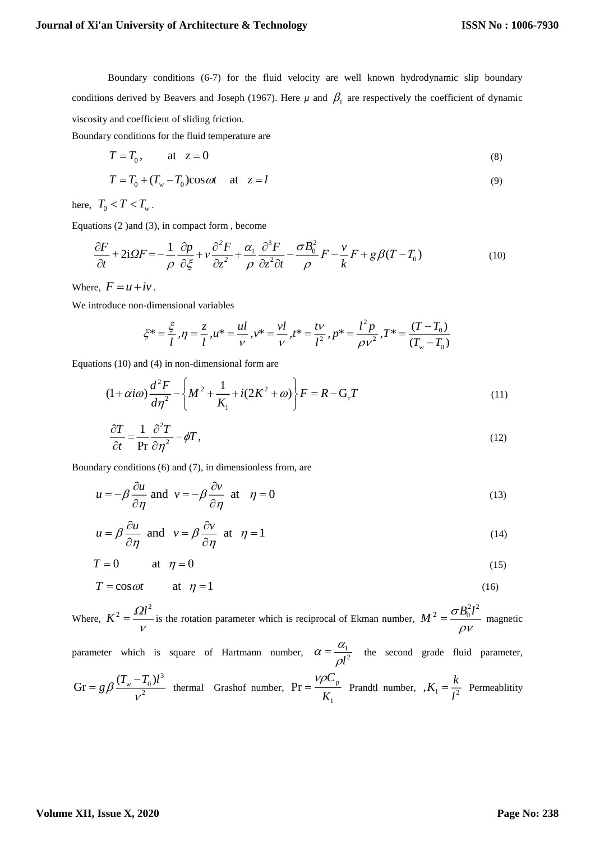Boundary conditions (6-7) for the fluid velocity are well known hydrodynamic slip boundary conditions derived by Beavers and Joseph (1967). Here  $\mu$  and  $\beta_1$  are respectively the coefficient of dynamic viscosity and coefficient of sliding friction.

Boundary conditions for the fluid temperature are

$$
T = T_0, \qquad \text{at} \quad z = 0 \tag{8}
$$

$$
T = T_0 + (T_w - T_0)\cos \omega t \quad \text{at} \quad z = l \tag{9}
$$

here,  $T_0 < T < T_w$ .

Equations (2 )and (3), in compact form , become

$$
\frac{\partial F}{\partial t} + 2i\Omega F = -\frac{1}{\rho} \frac{\partial p}{\partial \xi} + v \frac{\partial^2 F}{\partial z^2} + \frac{\alpha_1}{\rho} \frac{\partial^3 F}{\partial z^2 \partial t} - \frac{\sigma B_0^2}{\rho} F - \frac{v}{k} F + g \beta (T - T_0)
$$
(10)

Where,  $F = u + iv$ .

We introduce non-dimensional variables

$$
\xi^* = \frac{\xi}{l}, \eta = \frac{z}{l}, u^* = \frac{ul}{v}, v^* = \frac{vl}{v}, t^* = \frac{tv}{l^2}, p^* = \frac{l^2 p}{\rho v^2}, T^* = \frac{(T - T_0)}{(T_w - T_0)}
$$

Equations (10) and (4) in non-dimensional form are

$$
(1 + \alpha i \omega) \frac{d^2 F}{d \eta^2} - \left\{ M^2 + \frac{1}{K_1} + i(2K^2 + \omega) \right\} F = R - G_r T
$$
\n(11)

$$
\frac{\partial T}{\partial t} = \frac{1}{\text{Pr}} \frac{\partial^2 T}{\partial \eta^2} - \phi T,\tag{12}
$$

Boundary conditions (6) and (7), in dimensionless from, are

$$
u = -\beta \frac{\partial u}{\partial \eta} \text{ and } v = -\beta \frac{\partial v}{\partial \eta} \text{ at } \eta = 0
$$
 (13)

$$
u = \beta \frac{\partial u}{\partial \eta} \text{ and } v = \beta \frac{\partial v}{\partial \eta} \text{ at } \eta = 1
$$
 (14)

$$
T = 0 \qquad \text{at} \quad \eta = 0 \tag{15}
$$

$$
T = \cos \omega t \qquad \text{at} \quad \eta = 1 \tag{16}
$$

Where,  $K^2 = \frac{\Omega l^2}{l^2}$  $\mathcal V$  $=$   $\frac{1}{\sqrt{1-\frac{1}{\sqrt{1-\frac{1}{\sqrt{1-\frac{1}{\sqrt{1-\frac{1}{\sqrt{1-\frac{1}{\sqrt{1-\frac{1}{\sqrt{1-\frac{1}{\sqrt{1-\frac{1}{\sqrt{1-\frac{1}{\sqrt{1-\frac{1}{\sqrt{1-\frac{1}{\sqrt{1-\frac{1}{\sqrt{1-\frac{1}{\sqrt{1-\frac{1}{\sqrt{1-\frac{1}{\sqrt{1-\frac{1}{\sqrt{1-\frac{1}{\sqrt{1-\frac{1}{\sqrt{1-\frac{1}{\sqrt{1-\frac{1}{\sqrt{1-\frac{1}{\sqrt{1-\frac{1}{\sqrt{1-\frac{1}{\sqrt{1$  $212$  $M^2 = \frac{\sigma B_0^2 l}{2}$  $\rho$ v  $=$   $\frac{v - 0}{v}$  magnetic

parameter which is square of Hartmann number,  $\alpha = \frac{u_1}{\alpha}$  $l^2$  $\alpha = \frac{\alpha}{\alpha}$  $\rho$  $=\frac{1}{2}$  the second grade fluid parameter,

$$
Gr = g\beta \frac{(T_w - T_0)l^3}{v^2}
$$
 thermal Grashof number,  $Pr = \frac{\gamma \rho C_p}{K_1}$  Prandtl number,  $K_1 = \frac{k}{l^2}$  Permeability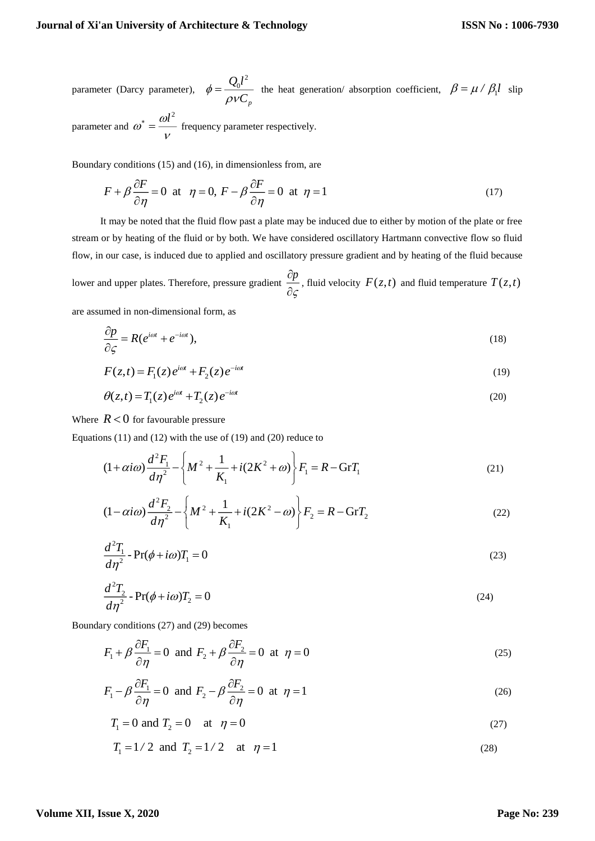$\mathcal V$ 

parameter (Darcy parameter), 2 *p*  $\mathcal{Q}_0$ l  $\phi = \frac{\epsilon_0}{\rho V C}$  $\rho\nu$  $=\frac{Q_0^2}{Q_0^2}$  the heat generation/ absorption coefficient,  $\beta = \mu / \beta_1 l$  slip parameter and  $\omega^* = \frac{\omega l^2}{2}$  $\stackrel{*}{=}$  =  $\stackrel{\cdots}{\phantom{\qquad}}$  frequency parameter respectively.

Boundary conditions (15) and (16), in dimensionless from, are

$$
F + \beta \frac{\partial F}{\partial \eta} = 0 \text{ at } \eta = 0, F - \beta \frac{\partial F}{\partial \eta} = 0 \text{ at } \eta = 1
$$
 (17)

It may be noted that the fluid flow past a plate may be induced due to either by motion of the plate or free stream or by heating of the fluid or by both. We have considered oscillatory Hartmann convective flow so fluid flow, in our case, is induced due to applied and oscillatory pressure gradient and by heating of the fluid because lower and upper plates. Therefore, pressure gradient  $\frac{op}{\ }$ קי д  $\frac{\partial P}{\partial \zeta}$ , fluid velocity  $F(z,t)$  and fluid temperature  $T(z,t)$ are assumed in non-dimensional form, as

$$
\frac{\partial p}{\partial \zeta} = R(e^{i\omega t} + e^{-i\omega t}),\tag{18}
$$

$$
F(z,t) = F_1(z)e^{i\omega t} + F_2(z)e^{-i\omega t}
$$
\n<sup>(19)</sup>

$$
\theta(z,t) = T_1(z)e^{i\omega t} + T_2(z)e^{-i\omega t}
$$
\n(20)

Where  $R < 0$  for favourable pressure

Equations (11) and (12) with the use of (19) and (20) reduce to

$$
(1 + \alpha i \omega) \frac{d^2 F_1}{d \eta^2} - \left\{ M^2 + \frac{1}{K_1} + i(2K^2 + \omega) \right\} F_1 = R - \text{Gr} T_1 \tag{21}
$$

$$
(1 - \alpha i \omega) \frac{d^2 F_2}{d \eta^2} - \left\{ M^2 + \frac{1}{K_1} + i(2K^2 - \omega) \right\} F_2 = R - \text{Gr} T_2 \tag{22}
$$

$$
\frac{d^2T_1}{d\eta^2} - \Pr(\phi + i\omega)T_1 = 0\tag{23}
$$

$$
\frac{d^2T_2}{d\eta^2} - \Pr(\phi + i\omega)T_2 = 0\tag{24}
$$

Boundary conditions (27) and (29) becomes

$$
F_1 + \beta \frac{\partial F_1}{\partial \eta} = 0 \text{ and } F_2 + \beta \frac{\partial F_2}{\partial \eta} = 0 \text{ at } \eta = 0
$$
 (25)

$$
F_1 - \beta \frac{\partial F_1}{\partial \eta} = 0 \text{ and } F_2 - \beta \frac{\partial F_2}{\partial \eta} = 0 \text{ at } \eta = 1
$$
 (26)

$$
T_1 = 0
$$
 and  $T_2 = 0$  at  $\eta = 0$  (27)

 $T_1 = 1/2$  and  $T_2 = 1/2$  at  $\eta = 1$  (28)

## **Volume XII, Issue X, 2020**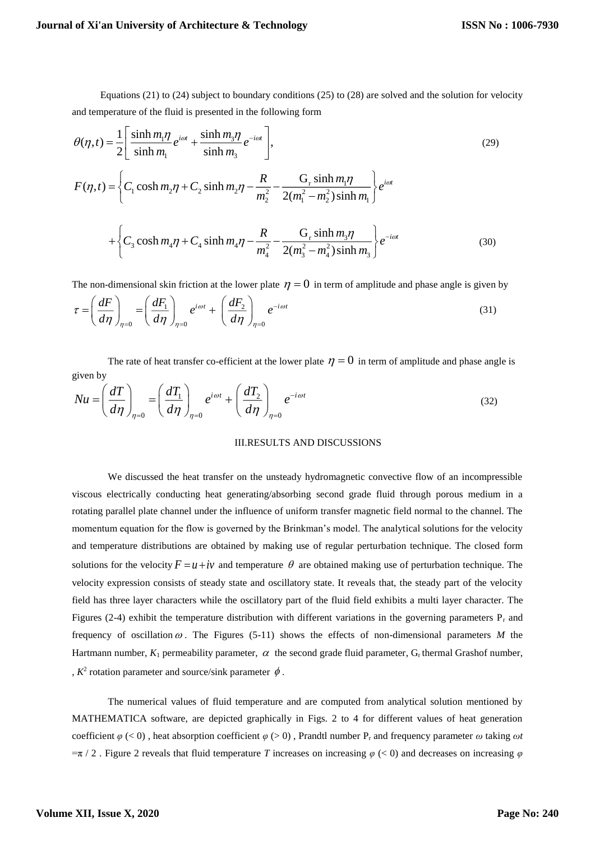Equations (21) to (24) subject to boundary conditions (25) to (28) are solved and the solution for velocity and temperature of the fluid is presented in the following form

$$
\theta(\eta, t) = \frac{1}{2} \left[ \frac{\sinh m_1 \eta}{\sinh m_1} e^{i\omega t} + \frac{\sinh m_3 \eta}{\sinh m_3} e^{-i\omega t} \right],
$$
\n
$$
F(\eta, t) = \left\{ C_1 \cosh m_2 \eta + C_2 \sinh m_2 \eta - \frac{R}{m_2^2} - \frac{G_r \sinh m_1 \eta}{2(m_1^2 - m_2^2) \sinh m_1} \right\} e^{i\omega t}
$$
\n
$$
+ \left\{ C_3 \cosh m_4 \eta + C_4 \sinh m_4 \eta - \frac{R}{m_4^2} - \frac{G_r \sinh m_3 \eta}{2(m_3^2 - m_4^2) \sinh m_3} \right\} e^{-i\omega t}
$$
\n(30)

The non-dimensional skin friction at the lower plate  $\eta = 0$  in term of amplitude and phase angle is given by

$$
\tau = \left(\frac{dF}{d\eta}\right)_{\eta=0} = \left(\frac{dF_1}{d\eta}\right)_{\eta=0} e^{i\omega t} + \left(\frac{dF_2}{d\eta}\right)_{\eta=0} e^{-i\omega t}
$$
\n(31)

The rate of heat transfer co-efficient at the lower plate  $\eta = 0$  in term of amplitude and phase angle is given by

$$
Nu = \left(\frac{dT}{d\eta}\right)_{\eta=0} = \left(\frac{dT_1}{d\eta}\right)_{\eta=0} e^{i\omega t} + \left(\frac{dT_2}{d\eta}\right)_{\eta=0} e^{-i\omega t}
$$
(32)

#### III.RESULTS AND DISCUSSIONS

We discussed the heat transfer on the unsteady hydromagnetic convective flow of an incompressible viscous electrically conducting heat generating/absorbing second grade fluid through porous medium in a rotating parallel plate channel under the influence of uniform transfer magnetic field normal to the channel. The momentum equation for the flow is governed by the Brinkman's model. The analytical solutions for the velocity and temperature distributions are obtained by making use of regular perturbation technique. The closed form solutions for the velocity  $F = u + iv$  and temperature  $\theta$  are obtained making use of perturbation technique. The velocity expression consists of steady state and oscillatory state. It reveals that, the steady part of the velocity field has three layer characters while the oscillatory part of the fluid field exhibits a multi layer character. The Figures (2-4) exhibit the temperature distribution with different variations in the governing parameters  $P_r$  and frequency of oscillation  $\omega$ . The Figures (5-11) shows the effects of non-dimensional parameters M the Hartmann number,  $K_1$  permeability parameter,  $\alpha$  the second grade fluid parameter,  $G_r$  thermal Grashof number, ,  $K^2$  rotation parameter and source/sink parameter  $\phi$ .

The numerical values of fluid temperature and are computed from analytical solution mentioned by MATHEMATICA software, are depicted graphically in Figs. 2 to 4 for different values of heat generation coefficient  $\varphi$  (< 0), heat absorption coefficient  $\varphi$  (> 0), Prandtl number P<sub>r</sub> and frequency parameter  $\omega$  taking  $\omega t$  $=\pi/2$ . Figure 2 reveals that fluid temperature *T* increases on increasing  $\varphi$  (< 0) and decreases on increasing  $\varphi$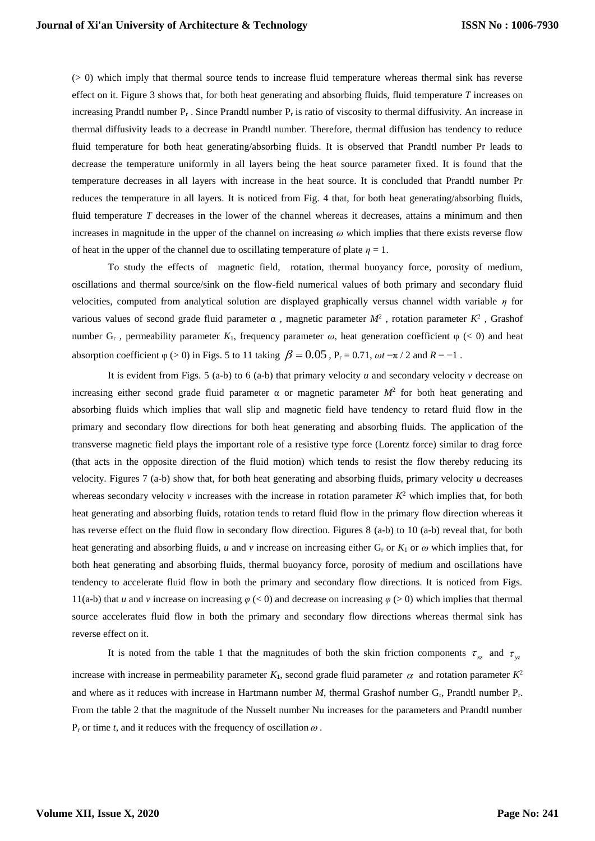(> 0) which imply that thermal source tends to increase fluid temperature whereas thermal sink has reverse effect on it. Figure 3 shows that, for both heat generating and absorbing fluids, fluid temperature *T* increases on increasing Prandtl number  $P_r$ . Since Prandtl number  $P_r$  is ratio of viscosity to thermal diffusivity. An increase in thermal diffusivity leads to a decrease in Prandtl number. Therefore, thermal diffusion has tendency to reduce fluid temperature for both heat generating/absorbing fluids. It is observed that Prandtl number Pr leads to decrease the temperature uniformly in all layers being the heat source parameter fixed. It is found that the temperature decreases in all layers with increase in the heat source. It is concluded that Prandtl number Pr reduces the temperature in all layers. It is noticed from Fig. 4 that, for both heat generating/absorbing fluids, fluid temperature *T* decreases in the lower of the channel whereas it decreases, attains a minimum and then increases in magnitude in the upper of the channel on increasing  $\omega$  which implies that there exists reverse flow of heat in the upper of the channel due to oscillating temperature of plate  $\eta = 1$ .

To study the effects of magnetic field, rotation, thermal buoyancy force, porosity of medium, oscillations and thermal source/sink on the flow-field numerical values of both primary and secondary fluid velocities, computed from analytical solution are displayed graphically versus channel width variable *η* for various values of second grade fluid parameter  $\alpha$ , magnetic parameter  $M^2$ , rotation parameter  $K^2$ , Grashof number  $G_r$ , permeability parameter  $K_l$ , frequency parameter  $\omega$ , heat generation coefficient  $\varphi$  (< 0) and heat absorption coefficient  $\varphi$  (> 0) in Figs. 5 to 11 taking  $\beta = 0.05$ ,  $P_r = 0.71$ ,  $\omega t = \pi / 2$  and  $R = -1$ .

It is evident from Figs. 5 (a-b) to 6 (a-b) that primary velocity *u* and secondary velocity *v* decrease on increasing either second grade fluid parameter  $\alpha$  or magnetic parameter  $M^2$  for both heat generating and absorbing fluids which implies that wall slip and magnetic field have tendency to retard fluid flow in the primary and secondary flow directions for both heat generating and absorbing fluids. The application of the transverse magnetic field plays the important role of a resistive type force (Lorentz force) similar to drag force (that acts in the opposite direction of the fluid motion) which tends to resist the flow thereby reducing its velocity. Figures 7 (a-b) show that, for both heat generating and absorbing fluids, primary velocity *u* decreases whereas secondary velocity  $\nu$  increases with the increase in rotation parameter  $K^2$  which implies that, for both heat generating and absorbing fluids, rotation tends to retard fluid flow in the primary flow direction whereas it has reverse effect on the fluid flow in secondary flow direction. Figures 8 (a-b) to 10 (a-b) reveal that, for both heat generating and absorbing fluids, *u* and *v* increase on increasing either  $G_r$  or  $K_1$  or  $\omega$  which implies that, for both heat generating and absorbing fluids, thermal buoyancy force, porosity of medium and oscillations have tendency to accelerate fluid flow in both the primary and secondary flow directions. It is noticed from Figs. 11(a-b) that *u* and *v* increase on increasing  $\varphi$  (< 0) and decrease on increasing  $\varphi$  (> 0) which implies that thermal source accelerates fluid flow in both the primary and secondary flow directions whereas thermal sink has reverse effect on it.

It is noted from the table 1 that the magnitudes of both the skin friction components  $\tau_{\chi}$  and  $\tau_{\chi}$ increase with increase in permeability parameter  $K_1$ , second grade fluid parameter  $\alpha$  and rotation parameter  $K^2$ and where as it reduces with increase in Hartmann number *M*, thermal Grashof number G<sub>r</sub>, Prandtl number P<sub>r</sub>. From the table 2 that the magnitude of the Nusselt number Nu increases for the parameters and Prandtl number  $P_r$  or time *t*, and it reduces with the frequency of oscillation  $\omega$ .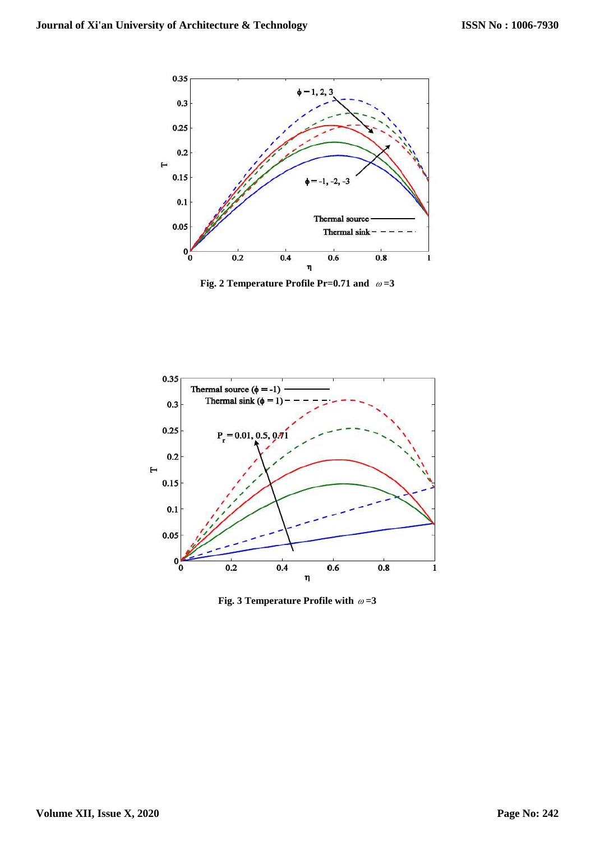

Fig. 2 Temperature Profile Pr=0.71 and  $\omega = 3$ 



Fig. 3 Temperature Profile with  $\omega = 3$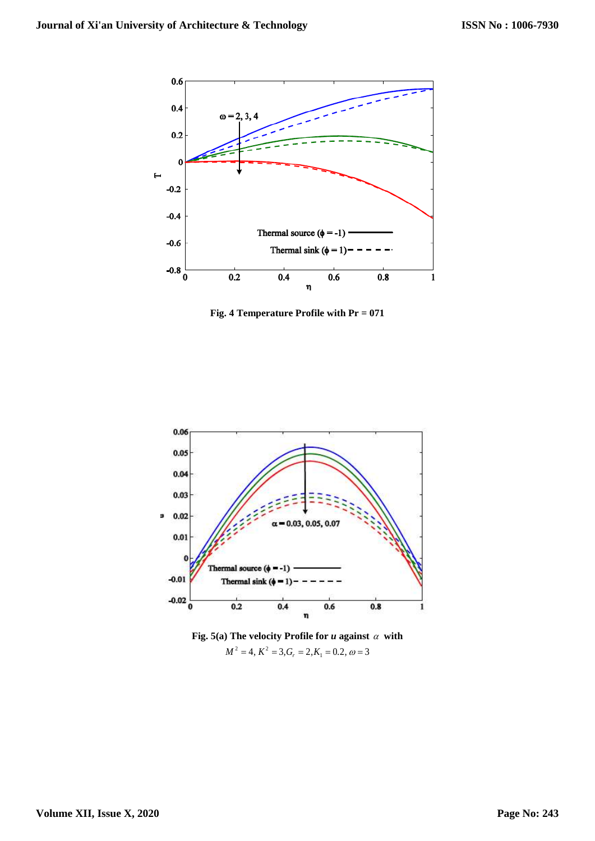

**Fig. 4 Temperature Profile with Pr = 071**



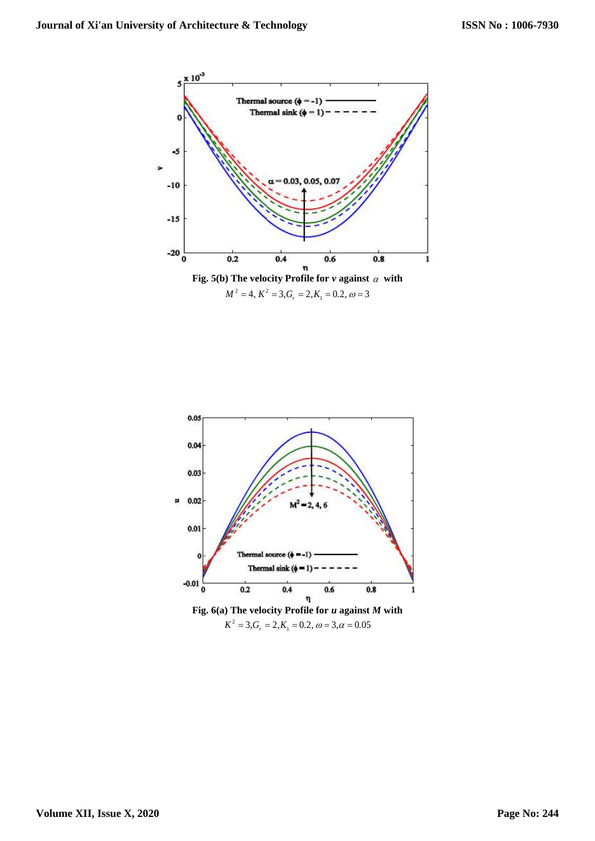

 $M^2 = 4$ ,  $K^2 = 3$ ,  $G_r = 2$ ,  $K_1 = 0.2$ ,  $\omega = 3$ 

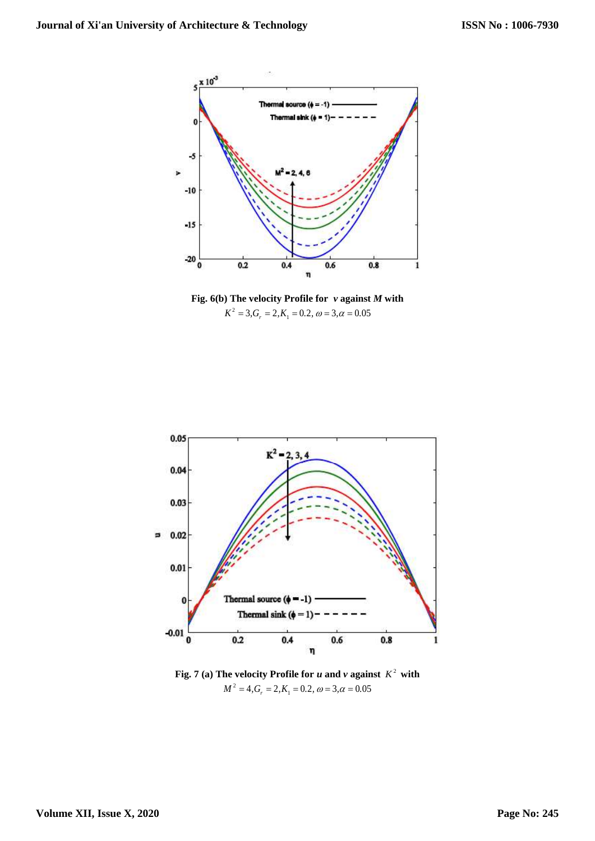

**Fig. 6(b) The velocity Profile for** *v* **against** *M* **with**   $K^2 = 3, G_r = 2, K_1 = 0.2, \ \omega = 3, \alpha = 0.05$ 



**Fig.** 7 (a) The velocity Profile for *u* and *v* against  $K^2$  with  $M^2 = 4, G_r = 2, K_1 = 0.2, \ \omega = 3, \alpha = 0.05$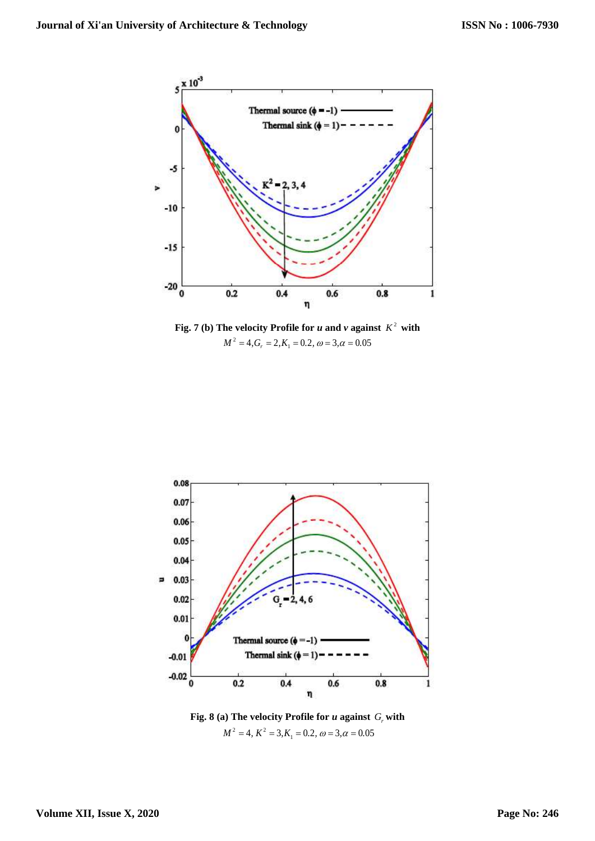

**Fig.** 7 (b) The velocity Profile for *u* and *v* against  $K^2$  with  $M^2 = 4, G_r = 2, K_1 = 0.2, \ \omega = 3, \alpha = 0.05$ 



**Fig. 8 (a) The velocity Profile for** *u* **against**  *Gr* **with**  $M^2 = 4$ ,  $K^2 = 3$ ,  $K_1 = 0.2$ ,  $\omega = 3$ ,  $\alpha = 0.05$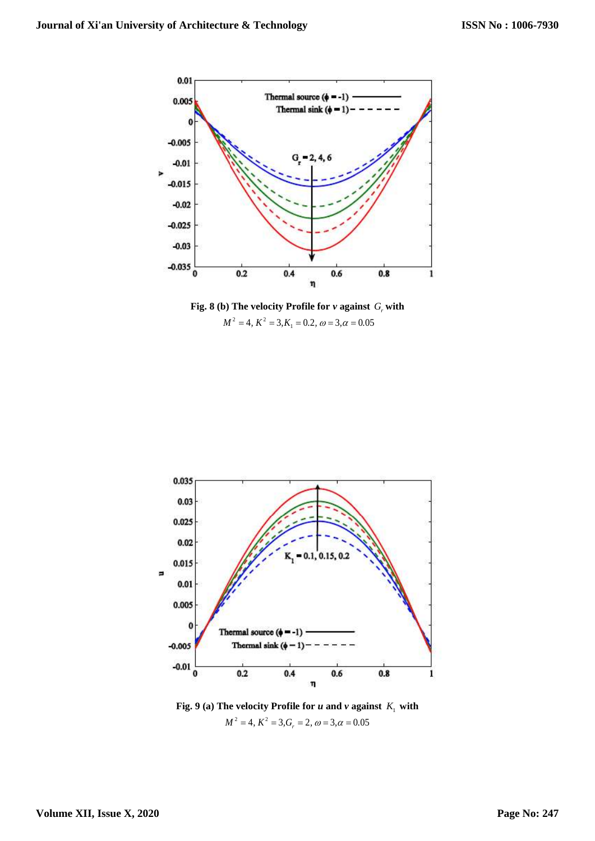

**Fig. 8 (b) The velocity Profile for** *v* **against**  *Gr* **with**  $M^2 = 4$ ,  $K^2 = 3$ ,  $K_1 = 0.2$ ,  $\omega = 3$ ,  $\alpha = 0.05$ 



**Fig. 9** (a) The velocity Profile for *u* and *v* against  $K_1$  with  $M^2 = 4$ ,  $K^2 = 3$ ,  $G_r = 2$ ,  $\omega = 3$ ,  $\alpha = 0.05$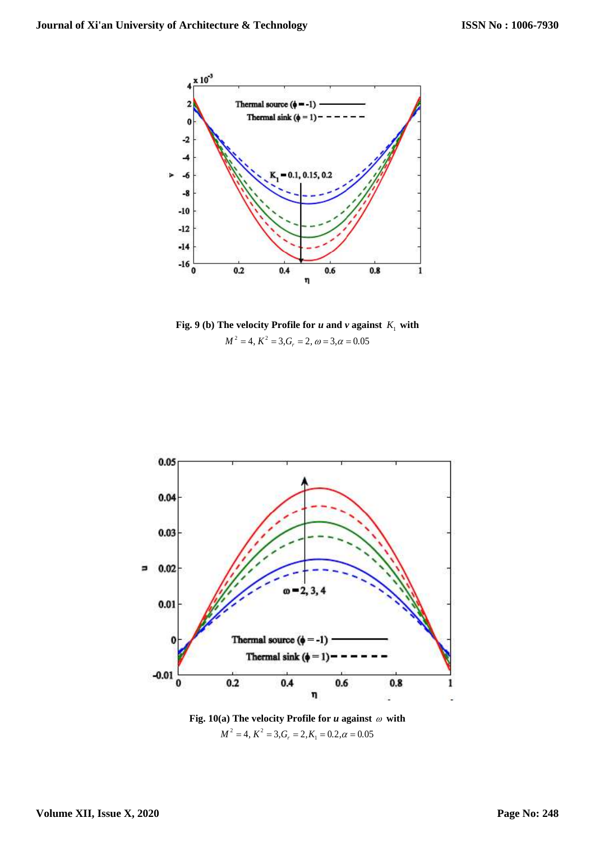

**Fig. 9** (b) The velocity Profile for  $u$  and  $v$  against  $K_1$  with  $M^2 = 4$ ,  $K^2 = 3$ ,  $G_r = 2$ ,  $\omega = 3$ ,  $\alpha = 0.05$ 



Fig. 10(a) The velocity Profile for  $u$  against  $\omega$  with  $M^2 = 4$ ,  $K^2 = 3$ ,  $G_r = 2$ ,  $K_1 = 0.2$ ,  $\alpha = 0.05$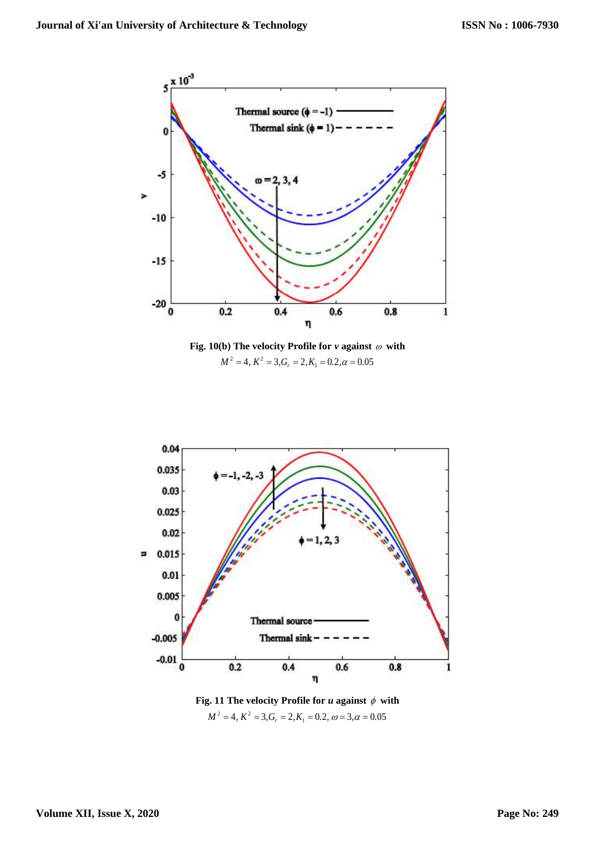





Fig. 11 The velocity Profile for  $u$  against  $\phi$  with **1. 11 The velocity Profile for u against**  $\varphi$  **w,**<br> $M^2 = 4$ ,  $K^2 = 3$ ,  $G_r = 2$ ,  $K_1 = 0.2$ ,  $\omega = 3$ ,  $\alpha = 0.05$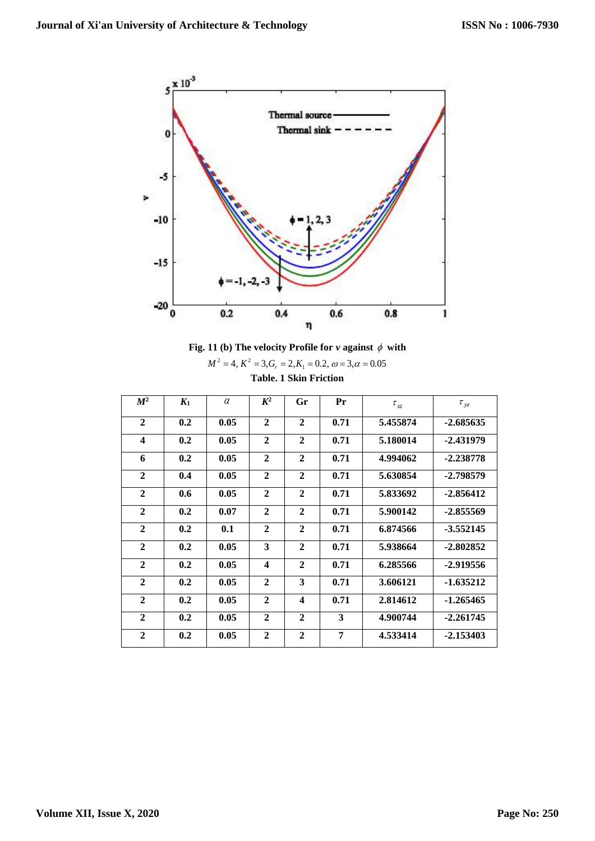



| $M^2 = 4$ , $K^2 = 3$ , $G_r = 2$ , $K_1 = 0.2$ , $\omega = 3$ , $\alpha = 0.05$ |  |  |  |  |  |  |  |
|----------------------------------------------------------------------------------|--|--|--|--|--|--|--|
| <b>Table. 1 Skin Friction</b>                                                    |  |  |  |  |  |  |  |

| $M^2$            | K <sub>1</sub> | $\alpha$ | $K^2$                   | Gr                      | Pr   | $\tau_{xz}$ | $\tau_{yz}$ |
|------------------|----------------|----------|-------------------------|-------------------------|------|-------------|-------------|
| $\mathbf{2}$     | 0.2            | 0.05     | $\overline{2}$          | $\mathbf{2}$            | 0.71 | 5.455874    | $-2.685635$ |
| $\boldsymbol{4}$ | 0.2            | 0.05     | $\mathbf{2}$            | $\mathbf{2}$            | 0.71 | 5.180014    | -2.431979   |
| 6                | 0.2            | 0.05     | $\mathbf{2}$            | $\mathbf{2}$            | 0.71 | 4.994062    | $-2.238778$ |
| $\mathbf{2}$     | 0.4            | 0.05     | $\mathbf{2}$            | $\mathbf{2}$            | 0.71 | 5.630854    | -2.798579   |
| $\mathbf{2}$     | 0.6            | 0.05     | $\mathbf{2}$            | $\mathbf{2}$            | 0.71 | 5.833692    | $-2.856412$ |
| $\mathbf{2}$     | 0.2            | 0.07     | $\mathbf{2}$            | $\mathbf{2}$            | 0.71 | 5.900142    | $-2.855569$ |
| $\mathbf{2}$     | 0.2            | 0.1      | $\mathbf{2}$            | $\mathbf{2}$            | 0.71 | 6.874566    | $-3.552145$ |
| $\mathbf{2}$     | 0.2            | 0.05     | 3                       | $\mathbf{2}$            | 0.71 | 5.938664    | $-2.802852$ |
| $\mathbf{2}$     | 0.2            | 0.05     | $\overline{\mathbf{4}}$ | $\mathbf{2}$            | 0.71 | 6.285566    | -2.919556   |
| $\mathbf{2}$     | 0.2            | 0.05     | $\mathbf{2}$            | 3                       | 0.71 | 3.606121    | $-1.635212$ |
| $\mathbf{2}$     | 0.2            | 0.05     | $\mathbf{2}$            | $\overline{\mathbf{4}}$ | 0.71 | 2.814612    | $-1.265465$ |
| $\mathbf{2}$     | 0.2            | 0.05     | $\mathbf{2}$            | $\mathbf{2}$            | 3    | 4.900744    | $-2.261745$ |
| $\mathbf{2}$     | 0.2            | 0.05     | $\mathbf{2}$            | $\overline{2}$          | 7    | 4.533414    | $-2.153403$ |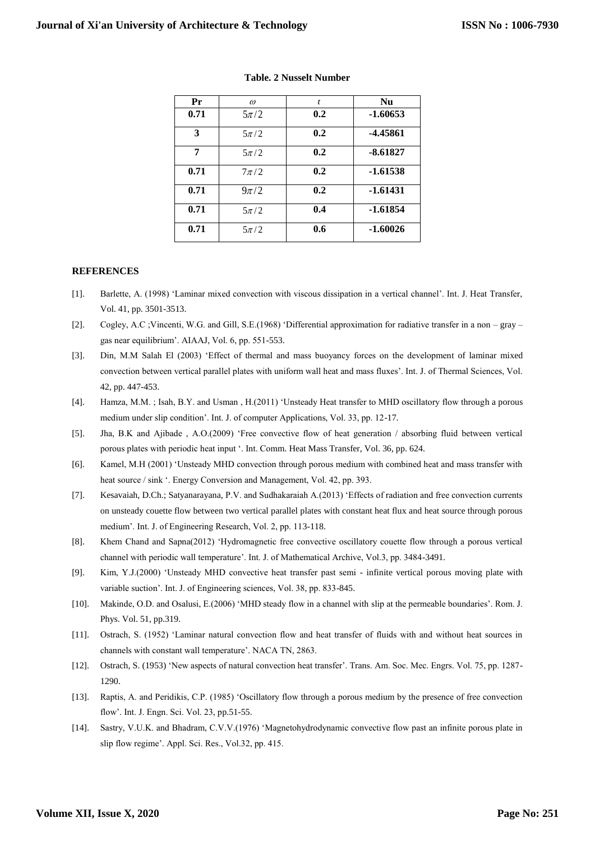| Pr   | $\omega$ | t   | <b>Nu</b>  |
|------|----------|-----|------------|
| 0.71 | $5\pi/2$ | 0.2 | $-1.60653$ |
| 3    | $5\pi/2$ | 0.2 | -4.45861   |
| 7    | $5\pi/2$ | 0.2 | $-8.61827$ |
| 0.71 | $7\pi/2$ | 0.2 | $-1.61538$ |
| 0.71 | $9\pi/2$ | 0.2 | $-1.61431$ |
| 0.71 | $5\pi/2$ | 0.4 | $-1.61854$ |
| 0.71 | $5\pi/2$ | 0.6 | $-1.60026$ |

#### **Table. 2 Nusselt Number**

### **REFERENCES**

- [1]. Barlette, A. (1998) 'Laminar mixed convection with viscous dissipation in a vertical channel'. Int. J. Heat Transfer, Vol. 41, pp. 3501-3513.
- [2]. Cogley, A.C ;Vincenti, W.G. and Gill, S.E.(1968) 'Differential approximation for radiative transfer in a non gray gas near equilibrium'. AIAAJ, Vol. 6, pp. 551-553.
- [3]. Din, M.M Salah El (2003) 'Effect of thermal and mass buoyancy forces on the development of laminar mixed convection between vertical parallel plates with uniform wall heat and mass fluxes'. Int. J. of Thermal Sciences, Vol. 42, pp. 447-453.
- [4]. Hamza, M.M. ; Isah, B.Y. and Usman , H.(2011) 'Unsteady Heat transfer to MHD oscillatory flow through a porous medium under slip condition'. Int. J. of computer Applications, Vol. 33, pp. 12-17.
- [5]. Jha, B.K and Ajibade , A.O.(2009) 'Free convective flow of heat generation / absorbing fluid between vertical porous plates with periodic heat input '. Int. Comm. Heat Mass Transfer, Vol. 36, pp. 624.
- [6]. Kamel, M.H (2001) 'Unsteady MHD convection through porous medium with combined heat and mass transfer with heat source / sink '. Energy Conversion and Management, Vol. 42, pp. 393.
- [7]. Kesavaiah, D.Ch.; Satyanarayana, P.V. and Sudhakaraiah A.(2013) 'Effects of radiation and free convection currents on unsteady couette flow between two vertical parallel plates with constant heat flux and heat source through porous medium'. Int. J. of Engineering Research, Vol. 2, pp. 113-118.
- [8]. Khem Chand and Sapna(2012) 'Hydromagnetic free convective oscillatory couette flow through a porous vertical channel with periodic wall temperature'. Int. J. of Mathematical Archive, Vol.3, pp. 3484-3491.
- [9]. Kim, Y.J.(2000) 'Unsteady MHD convective heat transfer past semi infinite vertical porous moving plate with variable suction'. Int. J. of Engineering sciences, Vol. 38, pp. 833-845.
- [10]. Makinde, O.D. and Osalusi, E.(2006) 'MHD steady flow in a channel with slip at the permeable boundaries'. Rom. J. Phys. Vol. 51, pp.319.
- [11]. Ostrach, S. (1952) 'Laminar natural convection flow and heat transfer of fluids with and without heat sources in channels with constant wall temperature'. NACA TN, 2863.
- [12]. Ostrach, S. (1953) 'New aspects of natural convection heat transfer'. Trans. Am. Soc. Mec. Engrs. Vol. 75, pp. 1287- 1290.
- [13]. Raptis, A. and Peridikis, C.P. (1985) 'Oscillatory flow through a porous medium by the presence of free convection flow'. Int. J. Engn. Sci. Vol. 23, pp.51-55.
- [14]. Sastry, V.U.K. and Bhadram, C.V.V.(1976) 'Magnetohydrodynamic convective flow past an infinite porous plate in slip flow regime'. Appl. Sci. Res., Vol.32, pp. 415.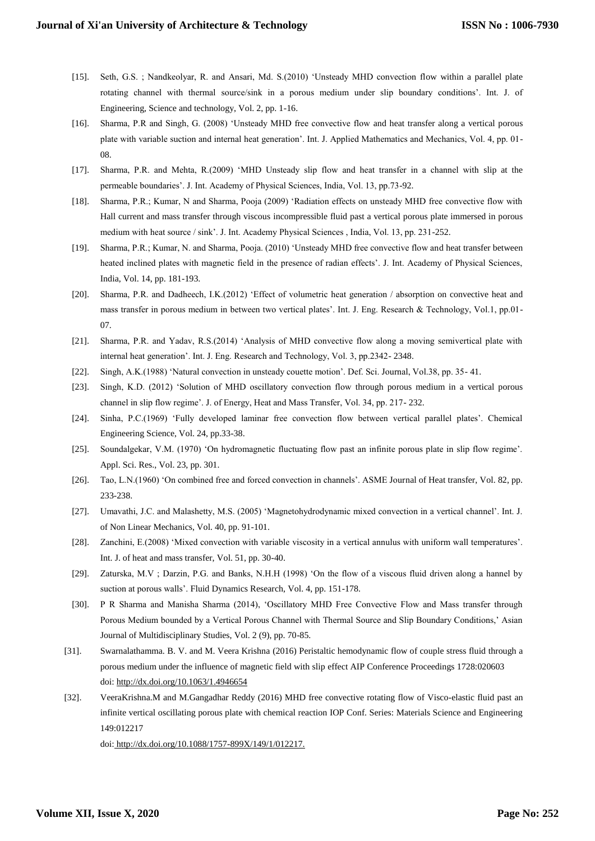- [15]. Seth, G.S. ; Nandkeolyar, R. and Ansari, Md. S.(2010) 'Unsteady MHD convection flow within a parallel plate rotating channel with thermal source/sink in a porous medium under slip boundary conditions'. Int. J. of Engineering, Science and technology, Vol. 2, pp. 1-16.
- [16]. Sharma, P.R and Singh, G. (2008) 'Unsteady MHD free convective flow and heat transfer along a vertical porous plate with variable suction and internal heat generation'. Int. J. Applied Mathematics and Mechanics, Vol. 4, pp. 01- 08.
- [17]. Sharma, P.R. and Mehta, R.(2009) 'MHD Unsteady slip flow and heat transfer in a channel with slip at the permeable boundaries'. J. Int. Academy of Physical Sciences, India, Vol. 13, pp.73-92.
- [18]. Sharma, P.R.; Kumar, N and Sharma, Pooja (2009) 'Radiation effects on unsteady MHD free convective flow with Hall current and mass transfer through viscous incompressible fluid past a vertical porous plate immersed in porous medium with heat source / sink'. J. Int. Academy Physical Sciences , India, Vol. 13, pp. 231-252.
- [19]. Sharma, P.R.; Kumar, N. and Sharma, Pooja. (2010) 'Unsteady MHD free convective flow and heat transfer between heated inclined plates with magnetic field in the presence of radian effects'. J. Int. Academy of Physical Sciences, India, Vol. 14, pp. 181-193.
- [20]. Sharma, P.R. and Dadheech, I.K.(2012) 'Effect of volumetric heat generation / absorption on convective heat and mass transfer in porous medium in between two vertical plates'. Int. J. Eng. Research & Technology, Vol.1, pp.01- 07.
- [21]. Sharma, P.R. and Yadav, R.S.(2014) 'Analysis of MHD convective flow along a moving semivertical plate with internal heat generation'. Int. J. Eng. Research and Technology, Vol. 3, pp.2342- 2348.
- [22]. Singh, A.K.(1988) 'Natural convection in unsteady couette motion'. Def. Sci. Journal, Vol.38, pp. 35- 41.
- [23]. Singh, K.D. (2012) 'Solution of MHD oscillatory convection flow through porous medium in a vertical porous channel in slip flow regime'. J. of Energy, Heat and Mass Transfer, Vol. 34, pp. 217- 232.
- [24]. Sinha, P.C.(1969) 'Fully developed laminar free convection flow between vertical parallel plates'. Chemical Engineering Science, Vol. 24, pp.33-38.
- [25]. Soundalgekar, V.M. (1970) 'On hydromagnetic fluctuating flow past an infinite porous plate in slip flow regime'. Appl. Sci. Res., Vol. 23, pp. 301.
- [26]. Tao, L.N.(1960) 'On combined free and forced convection in channels'. ASME Journal of Heat transfer, Vol. 82, pp. 233-238.
- [27]. Umavathi, J.C. and Malashetty, M.S. (2005) 'Magnetohydrodynamic mixed convection in a vertical channel'. Int. J. of Non Linear Mechanics, Vol. 40, pp. 91-101.
- [28]. Zanchini, E.(2008) 'Mixed convection with variable viscosity in a vertical annulus with uniform wall temperatures'. Int. J. of heat and mass transfer, Vol. 51, pp. 30-40.
- [29]. Zaturska, M.V ; Darzin, P.G. and Banks, N.H.H (1998) 'On the flow of a viscous fluid driven along a hannel by suction at porous walls'. Fluid Dynamics Research, Vol. 4, pp. 151-178.
- [30]. P R Sharma and Manisha Sharma (2014), 'Oscillatory MHD Free Convective Flow and Mass transfer through Porous Medium bounded by a Vertical Porous Channel with Thermal Source and Slip Boundary Conditions,' Asian Journal of Multidisciplinary Studies, Vol. 2 (9), pp. 70-85.
- [31]. Swarnalathamma. B. V. and M. Veera Krishna (2016) Peristaltic hemodynamic flow of couple stress fluid through a porous medium under the influence of magnetic field with slip effect AIP Conference Proceedings 1728:020603 doi[: http://dx.doi.org/10.1063/1.4946654](http://dx.doi.org/10.1063/1.4946654)
- [32]. VeeraKrishna.M and M.Gangadhar Reddy (2016) MHD free convective rotating flow of Visco-elastic fluid past an infinite vertical oscillating porous plate with chemical reaction IOP Conf. Series: Materials Science and Engineering 149:012217

doi: http://dx.doi.org/10.1088/1757-899X/149/1/012217.